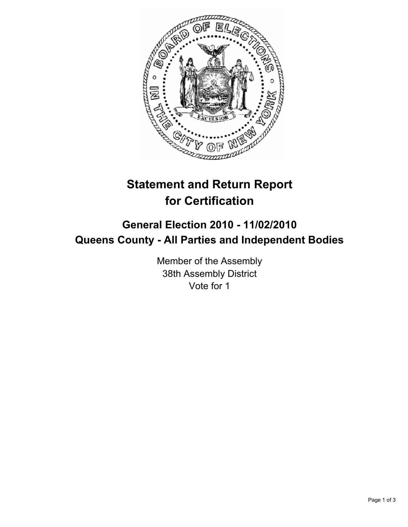

## **Statement and Return Report for Certification**

## **General Election 2010 - 11/02/2010 Queens County - All Parties and Independent Bodies**

Member of the Assembly 38th Assembly District Vote for 1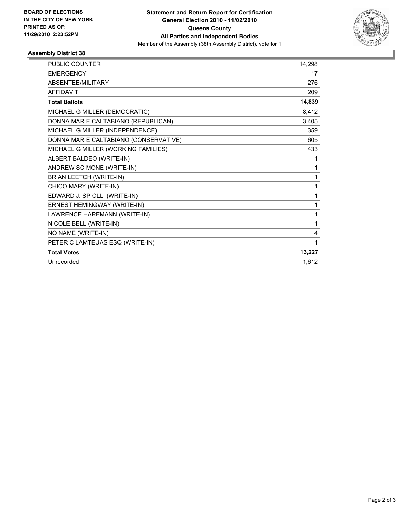

## **Assembly District 38**

| PUBLIC COUNTER                        | 14,298 |
|---------------------------------------|--------|
| <b>EMERGENCY</b>                      | 17     |
| ABSENTEE/MILITARY                     | 276    |
| <b>AFFIDAVIT</b>                      | 209    |
| <b>Total Ballots</b>                  | 14,839 |
| MICHAEL G MILLER (DEMOCRATIC)         | 8,412  |
| DONNA MARIE CALTABIANO (REPUBLICAN)   | 3,405  |
| MICHAEL G MILLER (INDEPENDENCE)       | 359    |
| DONNA MARIE CALTABIANO (CONSERVATIVE) | 605    |
| MICHAEL G MILLER (WORKING FAMILIES)   | 433    |
| ALBERT BALDEO (WRITE-IN)              | 1      |
| ANDREW SCIMONE (WRITE-IN)             | 1      |
| <b>BRIAN LEETCH (WRITE-IN)</b>        | 1      |
| CHICO MARY (WRITE-IN)                 | 1      |
| EDWARD J. SPIOLLI (WRITE-IN)          | 1      |
| ERNEST HEMINGWAY (WRITE-IN)           | 1      |
| LAWRENCE HARFMANN (WRITE-IN)          | 1      |
| NICOLE BELL (WRITE-IN)                | 1      |
| NO NAME (WRITE-IN)                    | 4      |
| PETER C LAMTEUAS ESQ (WRITE-IN)       | 1      |
| <b>Total Votes</b>                    | 13,227 |
| Unrecorded                            | 1.612  |